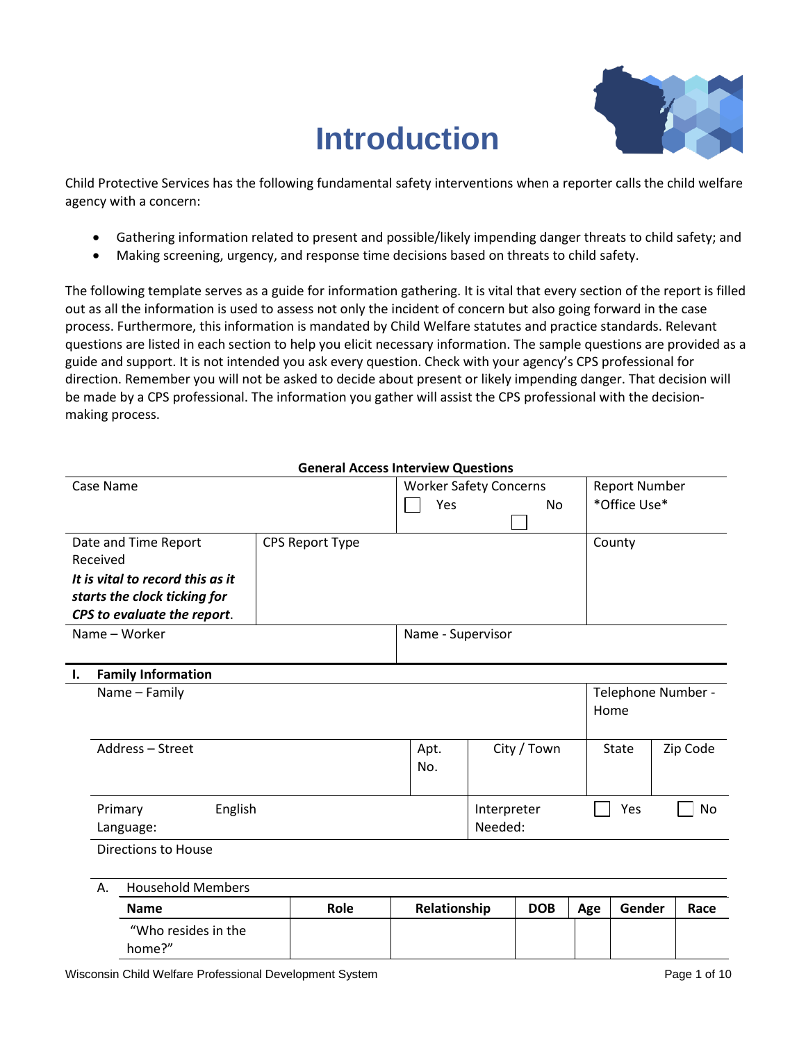# **Introduction**



Child Protective Services has the following fundamental safety interventions when a reporter calls the child welfare agency with a concern:

- Gathering information related to present and possible/likely impending danger threats to child safety; and
- Making screening, urgency, and response time decisions based on threats to child safety.

The following template serves as a guide for information gathering. It is vital that every section of the report is filled out as all the information is used to assess not only the incident of concern but also going forward in the case process. Furthermore, this information is mandated by Child Welfare statutes and practice standards. Relevant questions are listed in each section to help you elicit necessary information. The sample questions are provided as a guide and support. It is not intended you ask every question. Check with your agency's CPS professional for direction. Remember you will not be asked to decide about present or likely impending danger. That decision will be made by a CPS professional. The information you gather will assist the CPS professional with the decisionmaking process.

| <b>General Access Interview Questions</b> |                                  |                               |                   |             |             |                      |              |                    |
|-------------------------------------------|----------------------------------|-------------------------------|-------------------|-------------|-------------|----------------------|--------------|--------------------|
| Case Name                                 |                                  | <b>Worker Safety Concerns</b> |                   |             |             | <b>Report Number</b> |              |                    |
|                                           |                                  |                               | Yes               |             | <b>No</b>   |                      | *Office Use* |                    |
|                                           |                                  |                               |                   |             |             |                      |              |                    |
|                                           | Date and Time Report             | CPS Report Type               |                   |             |             |                      | County       |                    |
|                                           | Received                         |                               |                   |             |             |                      |              |                    |
|                                           | It is vital to record this as it |                               |                   |             |             |                      |              |                    |
|                                           | starts the clock ticking for     |                               |                   |             |             |                      |              |                    |
|                                           | CPS to evaluate the report.      |                               |                   |             |             |                      |              |                    |
|                                           | Name - Worker                    |                               | Name - Supervisor |             |             |                      |              |                    |
|                                           |                                  |                               |                   |             |             |                      |              |                    |
| Ι.                                        | <b>Family Information</b>        |                               |                   |             |             |                      |              |                    |
|                                           | Name - Family                    |                               |                   |             |             |                      |              | Telephone Number - |
|                                           |                                  |                               |                   |             |             |                      | Home         |                    |
|                                           |                                  |                               |                   |             |             |                      |              |                    |
|                                           | Address - Street                 |                               | Apt.              |             | City / Town |                      | <b>State</b> | Zip Code           |
|                                           |                                  |                               | No.               |             |             |                      |              |                    |
|                                           |                                  |                               |                   |             |             |                      |              |                    |
| English<br>Primary                        |                                  |                               |                   | Interpreter |             |                      | Yes          | No                 |
|                                           | Language:                        |                               |                   | Needed:     |             |                      |              |                    |
|                                           | Directions to House              |                               |                   |             |             |                      |              |                    |
|                                           |                                  |                               |                   |             |             |                      |              |                    |
|                                           | <b>Household Members</b><br>Α.   |                               |                   |             |             |                      |              |                    |
|                                           | <b>Name</b>                      | Role                          | Relationship      |             | <b>DOB</b>  | Age                  | Gender       | Race               |
|                                           | "Who resides in the              |                               |                   |             |             |                      |              |                    |
|                                           | home?"                           |                               |                   |             |             |                      |              |                    |
|                                           |                                  |                               |                   |             |             |                      |              |                    |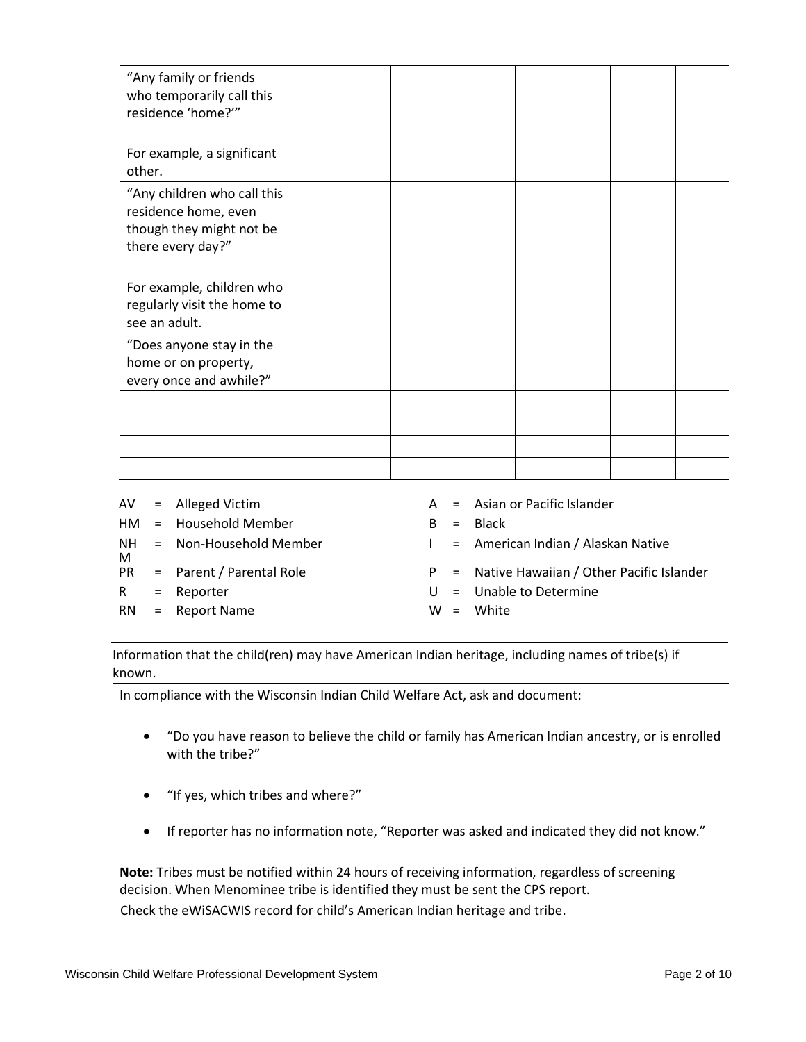| "Any family or friends<br>who temporarily call this<br>residence 'home?'"                            |  |  |  |
|------------------------------------------------------------------------------------------------------|--|--|--|
| For example, a significant<br>other.                                                                 |  |  |  |
| "Any children who call this<br>residence home, even<br>though they might not be<br>there every day?" |  |  |  |
| For example, children who<br>regularly visit the home to<br>see an adult.                            |  |  |  |
| "Does anyone stay in the<br>home or on property,<br>every once and awhile?"                          |  |  |  |
|                                                                                                      |  |  |  |
|                                                                                                      |  |  |  |
|                                                                                                      |  |  |  |
|                                                                                                      |  |  |  |

|     | $AV =$ Alleged Victim       |              | A = Asian or Pacific Islander                  |
|-----|-----------------------------|--------------|------------------------------------------------|
|     | $HM = Household Member$     |              | $B = Black$                                    |
| M   | $NH = Non-Household Member$ | $\mathbf{L}$ | = American Indian / Alaskan Native             |
| PR  | = Parent / Parental Role    |              | $P =$ Native Hawaiian / Other Pacific Islander |
| R   | $=$ Reporter                |              | $U =$ Unable to Determine                      |
| RN. | = Report Name               |              | $W = White$                                    |

Information that the child(ren) may have American Indian heritage, including names of tribe(s) if known.

In compliance with the Wisconsin Indian Child Welfare Act, ask and document:

- "Do you have reason to believe the child or family has American Indian ancestry, or is enrolled with the tribe?"
- "If yes, which tribes and where?"
- If reporter has no information note, "Reporter was asked and indicated they did not know."

**Note:** Tribes must be notified within 24 hours of receiving information, regardless of screening decision. When Menominee tribe is identified they must be sent the CPS report. Check the eWiSACWIS record for child's American Indian heritage and tribe.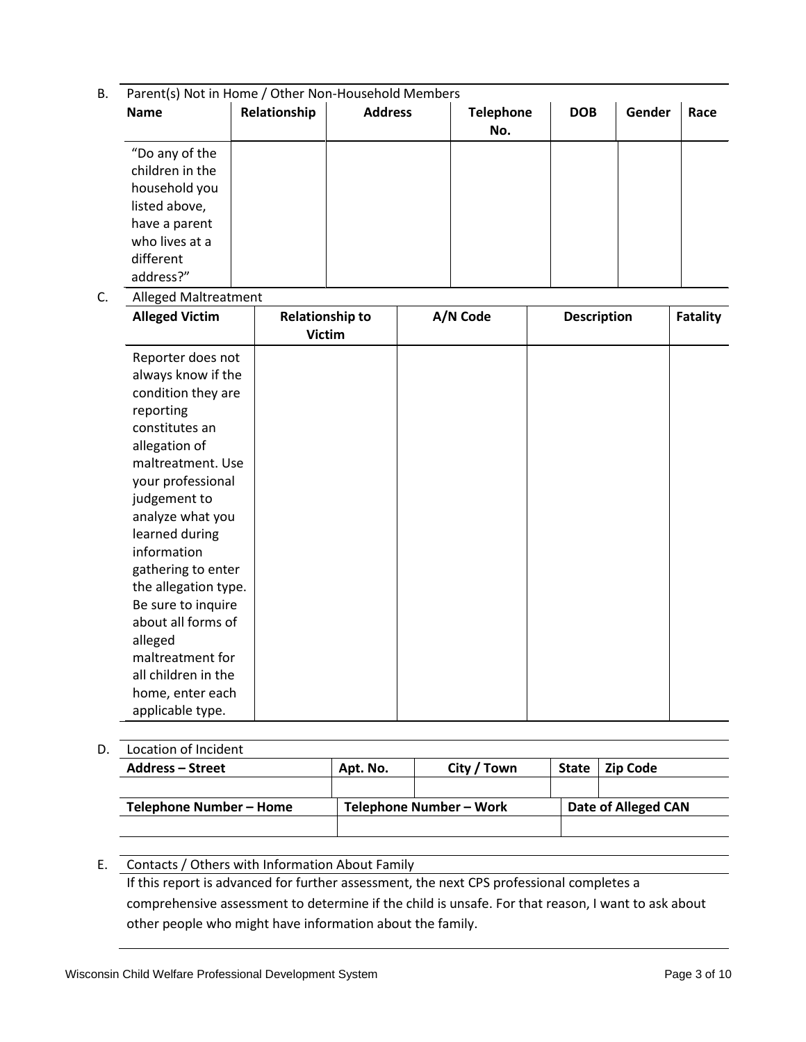- B. Parent(s) Not in Home / Other Non-Household Members **Name Relationship Address Telephone No. DOB Gender Race** "Do any of the children in the household you listed above, have a parent
- C. Alleged Maltreatment

who lives at a different address?"

| <b>Alleged Victim</b> | <b>Relationship to</b><br><b>Victim</b> | A/N Code | <b>Description</b> | <b>Fatality</b> |
|-----------------------|-----------------------------------------|----------|--------------------|-----------------|
| Reporter does not     |                                         |          |                    |                 |
| always know if the    |                                         |          |                    |                 |
| condition they are    |                                         |          |                    |                 |
| reporting             |                                         |          |                    |                 |
| constitutes an        |                                         |          |                    |                 |
| allegation of         |                                         |          |                    |                 |
| maltreatment. Use     |                                         |          |                    |                 |
| your professional     |                                         |          |                    |                 |
| judgement to          |                                         |          |                    |                 |
| analyze what you      |                                         |          |                    |                 |
| learned during        |                                         |          |                    |                 |
| information           |                                         |          |                    |                 |
| gathering to enter    |                                         |          |                    |                 |
| the allegation type.  |                                         |          |                    |                 |
| Be sure to inquire    |                                         |          |                    |                 |
| about all forms of    |                                         |          |                    |                 |
| alleged               |                                         |          |                    |                 |
| maltreatment for      |                                         |          |                    |                 |
| all children in the   |                                         |          |                    |                 |
| home, enter each      |                                         |          |                    |                 |
| applicable type.      |                                         |          |                    |                 |

## D. Location of Incident

| <b>Address – Street</b> | Apt. No. | City / Town             | <b>State</b> | <b>Zip Code</b>     |  |  |
|-------------------------|----------|-------------------------|--------------|---------------------|--|--|
|                         |          |                         |              |                     |  |  |
| Telephone Number - Home |          | Telephone Number - Work |              | Date of Alleged CAN |  |  |
|                         |          |                         |              |                     |  |  |

#### E. Contacts / Others with Information About Family

If this report is advanced for further assessment, the next CPS professional completes a comprehensive assessment to determine if the child is unsafe. For that reason, I want to ask about other people who might have information about the family.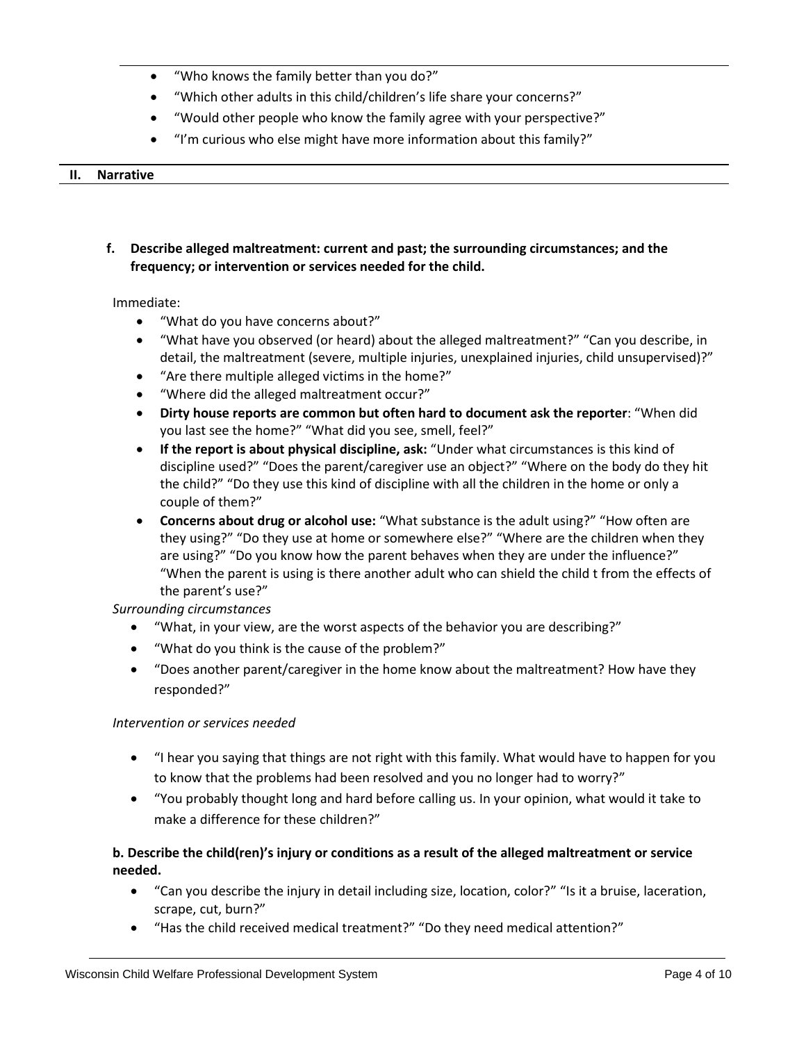- "Who knows the family better than you do?"
- "Which other adults in this child/children's life share your concerns?"
- "Would other people who know the family agree with your perspective?"
- "I'm curious who else might have more information about this family?"

#### **II. Narrative**

**f. Describe alleged maltreatment: current and past; the surrounding circumstances; and the frequency; or intervention or services needed for the child.**

#### Immediate:

- "What do you have concerns about?"
- "What have you observed (or heard) about the alleged maltreatment?" "Can you describe, in detail, the maltreatment (severe, multiple injuries, unexplained injuries, child unsupervised)?"
- "Are there multiple alleged victims in the home?"
- "Where did the alleged maltreatment occur?"
- **Dirty house reports are common but often hard to document ask the reporter**: "When did you last see the home?" "What did you see, smell, feel?"
- **If the report is about physical discipline, ask:** "Under what circumstances is this kind of discipline used?" "Does the parent/caregiver use an object?" "Where on the body do they hit the child?" "Do they use this kind of discipline with all the children in the home or only a couple of them?"
- **Concerns about drug or alcohol use:** "What substance is the adult using?" "How often are they using?" "Do they use at home or somewhere else?" "Where are the children when they are using?" "Do you know how the parent behaves when they are under the influence?" "When the parent is using is there another adult who can shield the child t from the effects of the parent's use?"

### *Surrounding circumstances*

- "What, in your view, are the worst aspects of the behavior you are describing?"
- "What do you think is the cause of the problem?"
- "Does another parent/caregiver in the home know about the maltreatment? How have they responded?"

### *Intervention or services needed*

- "I hear you saying that things are not right with this family. What would have to happen for you to know that the problems had been resolved and you no longer had to worry?"
- "You probably thought long and hard before calling us. In your opinion, what would it take to make a difference for these children?"

## **b. Describe the child(ren)'s injury or conditions as a result of the alleged maltreatment or service needed.**

- "Can you describe the injury in detail including size, location, color?" "Is it a bruise, laceration, scrape, cut, burn?"
- "Has the child received medical treatment?" "Do they need medical attention?"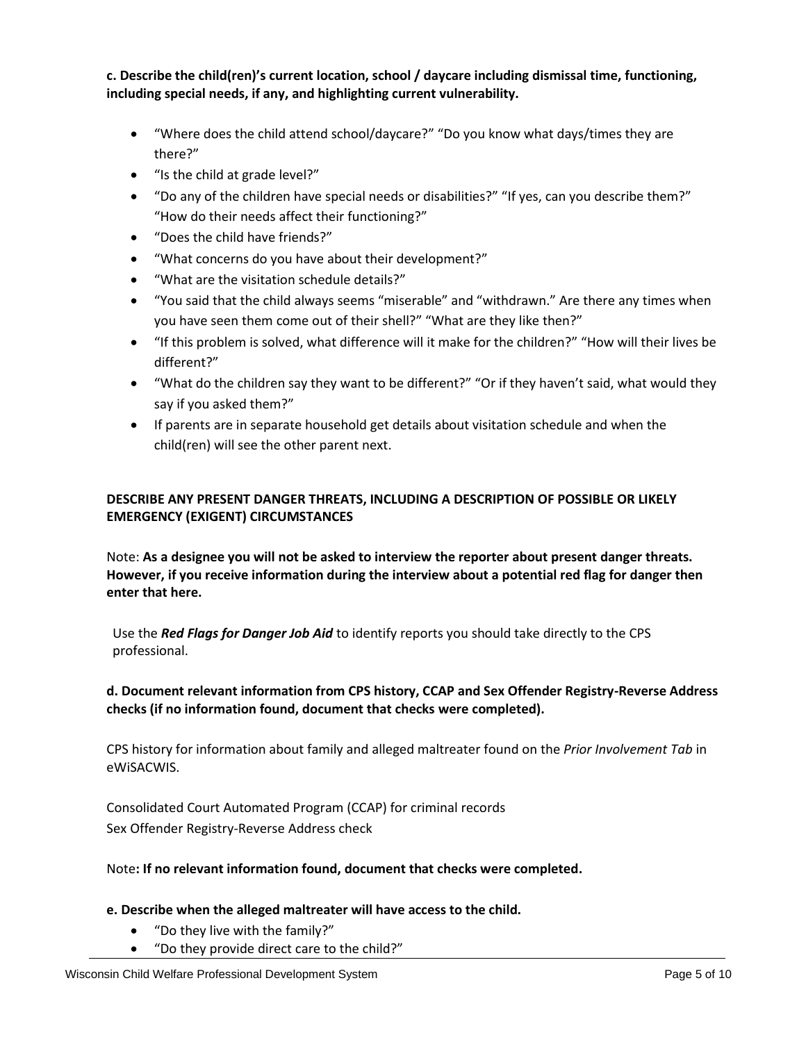**c. Describe the child(ren)'s current location, school / daycare including dismissal time, functioning, including special needs, if any, and highlighting current vulnerability.**

- "Where does the child attend school/daycare?" "Do you know what days/times they are there?"
- "Is the child at grade level?"
- "Do any of the children have special needs or disabilities?" "If yes, can you describe them?" "How do their needs affect their functioning?"
- "Does the child have friends?"
- "What concerns do you have about their development?"
- "What are the visitation schedule details?"
- "You said that the child always seems "miserable" and "withdrawn." Are there any times when you have seen them come out of their shell?" "What are they like then?"
- "If this problem is solved, what difference will it make for the children?" "How will their lives be different?"
- "What do the children say they want to be different?" "Or if they haven't said, what would they say if you asked them?"
- If parents are in separate household get details about visitation schedule and when the child(ren) will see the other parent next.

## **DESCRIBE ANY PRESENT DANGER THREATS, INCLUDING A DESCRIPTION OF POSSIBLE OR LIKELY EMERGENCY (EXIGENT) CIRCUMSTANCES**

Note: **As a designee you will not be asked to interview the reporter about present danger threats. However, if you receive information during the interview about a potential red flag for danger then enter that here.**

Use the *Red Flags for Danger Job Aid* to identify reports you should take directly to the CPS professional.

## **d. Document relevant information from CPS history, CCAP and Sex Offender Registry-Reverse Address checks (if no information found, document that checks were completed).**

CPS history for information about family and alleged maltreater found on the *Prior Involvement Tab* in eWiSACWIS.

Consolidated Court Automated Program (CCAP) for criminal records Sex Offender Registry-Reverse Address check

## Note**: If no relevant information found, document that checks were completed.**

## **e. Describe when the alleged maltreater will have access to the child.**

- "Do they live with the family?"
- "Do they provide direct care to the child?"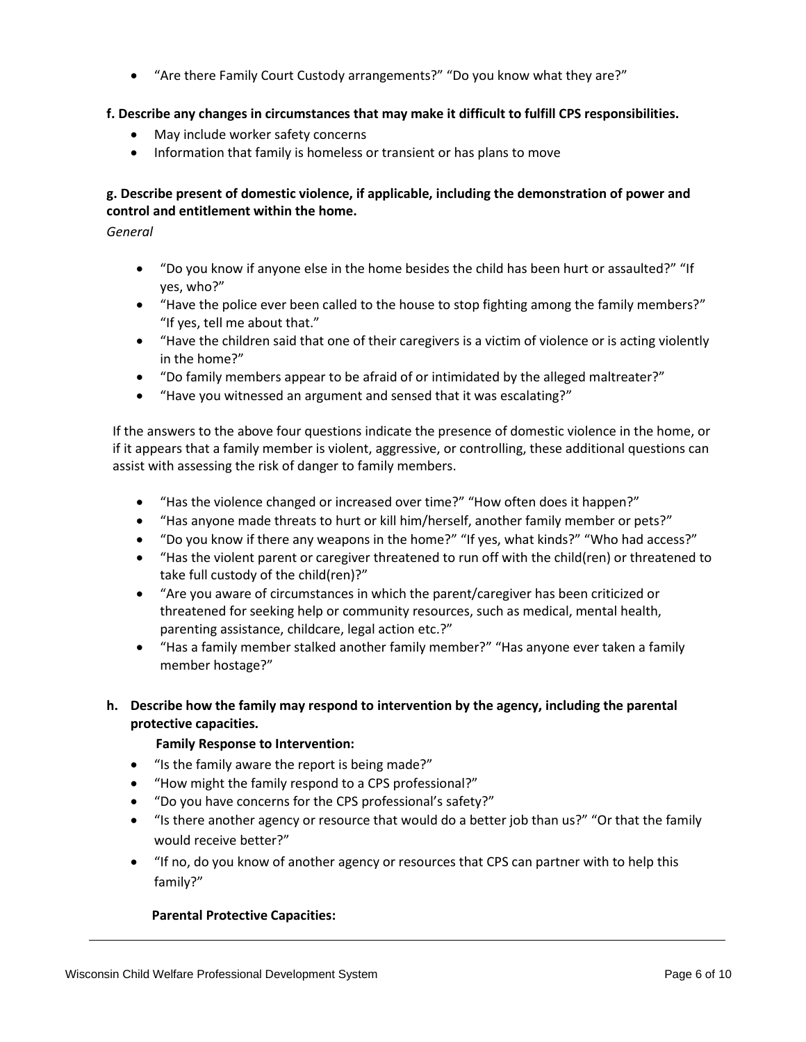• "Are there Family Court Custody arrangements?" "Do you know what they are?"

### **f. Describe any changes in circumstances that may make it difficult to fulfill CPS responsibilities.**

- May include worker safety concerns
- Information that family is homeless or transient or has plans to move

## **g. Describe present of domestic violence, if applicable, including the demonstration of power and control and entitlement within the home.**

*General*

- "Do you know if anyone else in the home besides the child has been hurt or assaulted?" "If yes, who?"
- "Have the police ever been called to the house to stop fighting among the family members?" "If yes, tell me about that."
- "Have the children said that one of their caregivers is a victim of violence or is acting violently in the home?"
- "Do family members appear to be afraid of or intimidated by the alleged maltreater?"
- "Have you witnessed an argument and sensed that it was escalating?"

If the answers to the above four questions indicate the presence of domestic violence in the home, or if it appears that a family member is violent, aggressive, or controlling, these additional questions can assist with assessing the risk of danger to family members.

- "Has the violence changed or increased over time?" "How often does it happen?"
- "Has anyone made threats to hurt or kill him/herself, another family member or pets?"
- "Do you know if there any weapons in the home?" "If yes, what kinds?" "Who had access?"
- "Has the violent parent or caregiver threatened to run off with the child(ren) or threatened to take full custody of the child(ren)?"
- "Are you aware of circumstances in which the parent/caregiver has been criticized or threatened for seeking help or community resources, such as medical, mental health, parenting assistance, childcare, legal action etc.?"
- "Has a family member stalked another family member?" "Has anyone ever taken a family member hostage?"

## **h. Describe how the family may respond to intervention by the agency, including the parental protective capacities.**

### **Family Response to Intervention:**

- "Is the family aware the report is being made?"
- "How might the family respond to a CPS professional?"
- "Do you have concerns for the CPS professional's safety?"
- "Is there another agency or resource that would do a better job than us?" "Or that the family would receive better?"
- "If no, do you know of another agency or resources that CPS can partner with to help this family?"

### **Parental Protective Capacities:**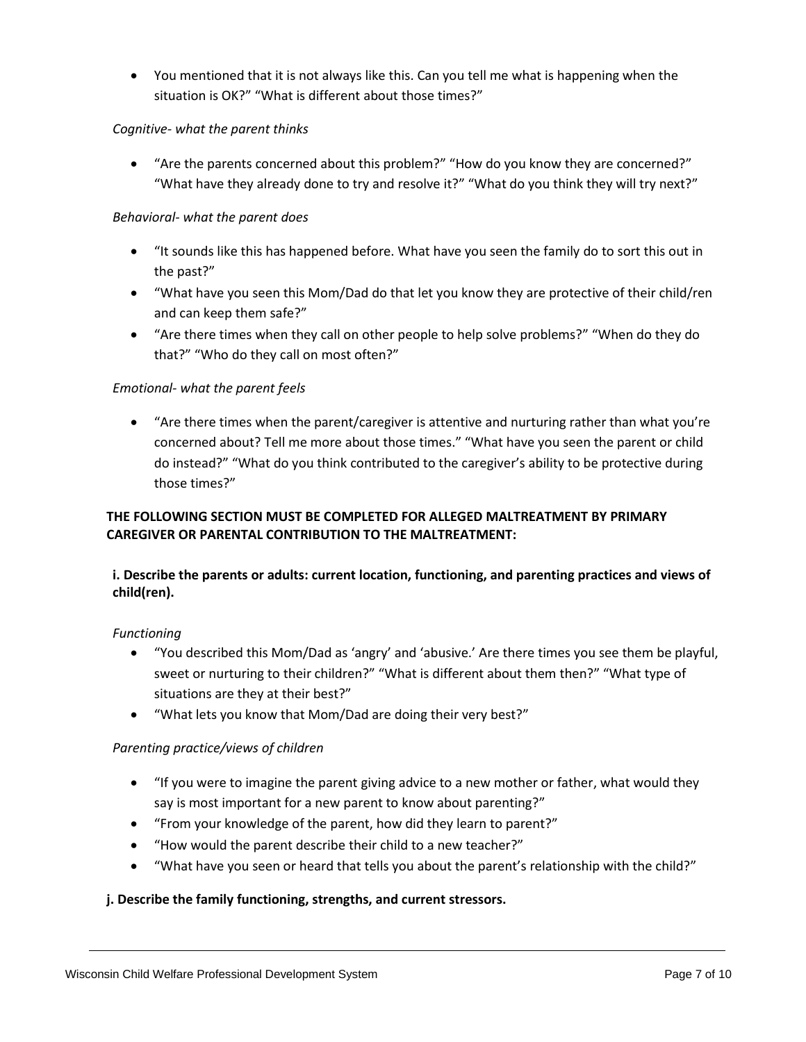• You mentioned that it is not always like this. Can you tell me what is happening when the situation is OK?" "What is different about those times?"

## *Cognitive- what the parent thinks*

• "Are the parents concerned about this problem?" "How do you know they are concerned?" "What have they already done to try and resolve it?" "What do you think they will try next?"

## *Behavioral- what the parent does*

- "It sounds like this has happened before. What have you seen the family do to sort this out in the past?"
- "What have you seen this Mom/Dad do that let you know they are protective of their child/ren and can keep them safe?"
- "Are there times when they call on other people to help solve problems?" "When do they do that?" "Who do they call on most often?"

## *Emotional- what the parent feels*

• "Are there times when the parent/caregiver is attentive and nurturing rather than what you're concerned about? Tell me more about those times." "What have you seen the parent or child do instead?" "What do you think contributed to the caregiver's ability to be protective during those times?"

## **THE FOLLOWING SECTION MUST BE COMPLETED FOR ALLEGED MALTREATMENT BY PRIMARY CAREGIVER OR PARENTAL CONTRIBUTION TO THE MALTREATMENT:**

## **i. Describe the parents or adults: current location, functioning, and parenting practices and views of child(ren).**

### *Functioning*

- "You described this Mom/Dad as 'angry' and 'abusive.' Are there times you see them be playful, sweet or nurturing to their children?" "What is different about them then?" "What type of situations are they at their best?"
- "What lets you know that Mom/Dad are doing their very best?"

## *Parenting practice/views of children*

- "If you were to imagine the parent giving advice to a new mother or father, what would they say is most important for a new parent to know about parenting?"
- "From your knowledge of the parent, how did they learn to parent?"
- "How would the parent describe their child to a new teacher?"
- "What have you seen or heard that tells you about the parent's relationship with the child?"

## **j. Describe the family functioning, strengths, and current stressors.**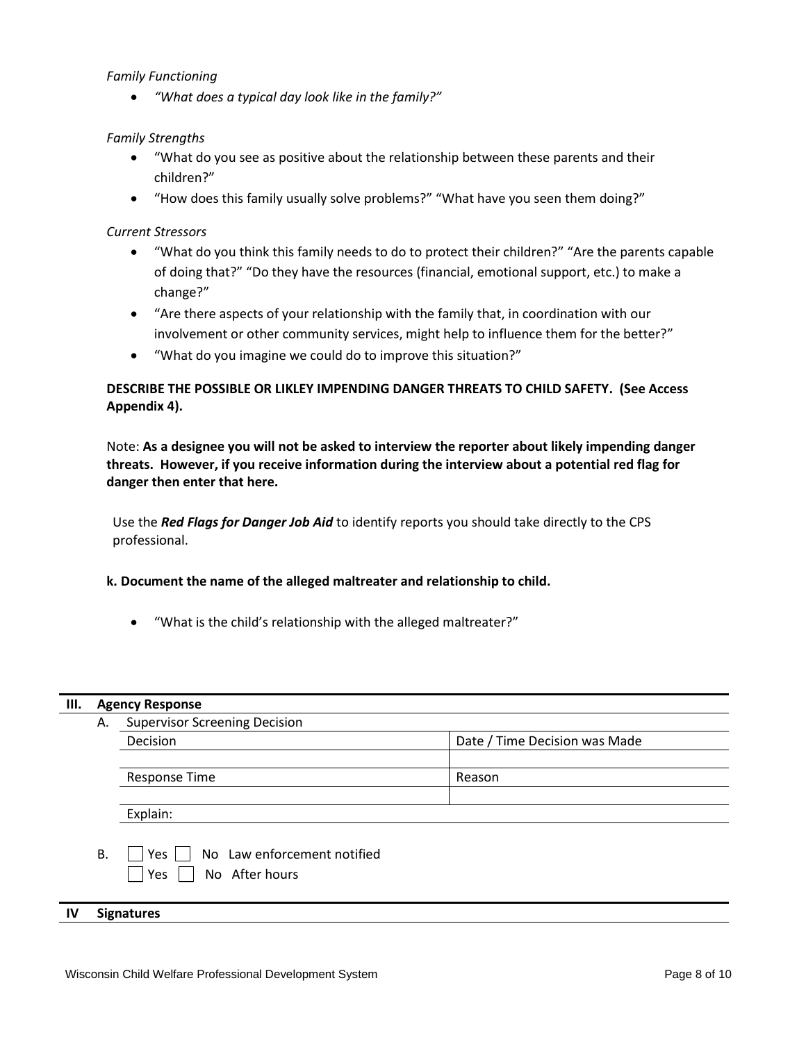#### *Family Functioning*

• *"What does a typical day look like in the family?"*

#### *Family Strengths*

- "What do you see as positive about the relationship between these parents and their children?"
- "How does this family usually solve problems?" "What have you seen them doing?"

#### *Current Stressors*

- "What do you think this family needs to do to protect their children?" "Are the parents capable of doing that?" "Do they have the resources (financial, emotional support, etc.) to make a change?"
- "Are there aspects of your relationship with the family that, in coordination with our involvement or other community services, might help to influence them for the better?"
- "What do you imagine we could do to improve this situation?"

## **DESCRIBE THE POSSIBLE OR LIKLEY IMPENDING DANGER THREATS TO CHILD SAFETY. (See Access Appendix 4).**

Note: **As a designee you will not be asked to interview the reporter about likely impending danger threats. However, if you receive information during the interview about a potential red flag for danger then enter that here.**

Use the *Red Flags for Danger Job Aid* to identify reports you should take directly to the CPS professional.

#### **k. Document the name of the alleged maltreater and relationship to child.**

• "What is the child's relationship with the alleged maltreater?"

#### **III. Agency Response**

| А. | <b>Supervisor Screening Decision</b>                            |                               |  |  |
|----|-----------------------------------------------------------------|-------------------------------|--|--|
|    | Decision                                                        | Date / Time Decision was Made |  |  |
|    |                                                                 |                               |  |  |
|    | <b>Response Time</b>                                            | Reason                        |  |  |
|    |                                                                 |                               |  |  |
|    | Explain:                                                        |                               |  |  |
| В. | No Law enforcement notified<br> Yes <br>No After hours<br>  Yes |                               |  |  |

#### **IV Signatures**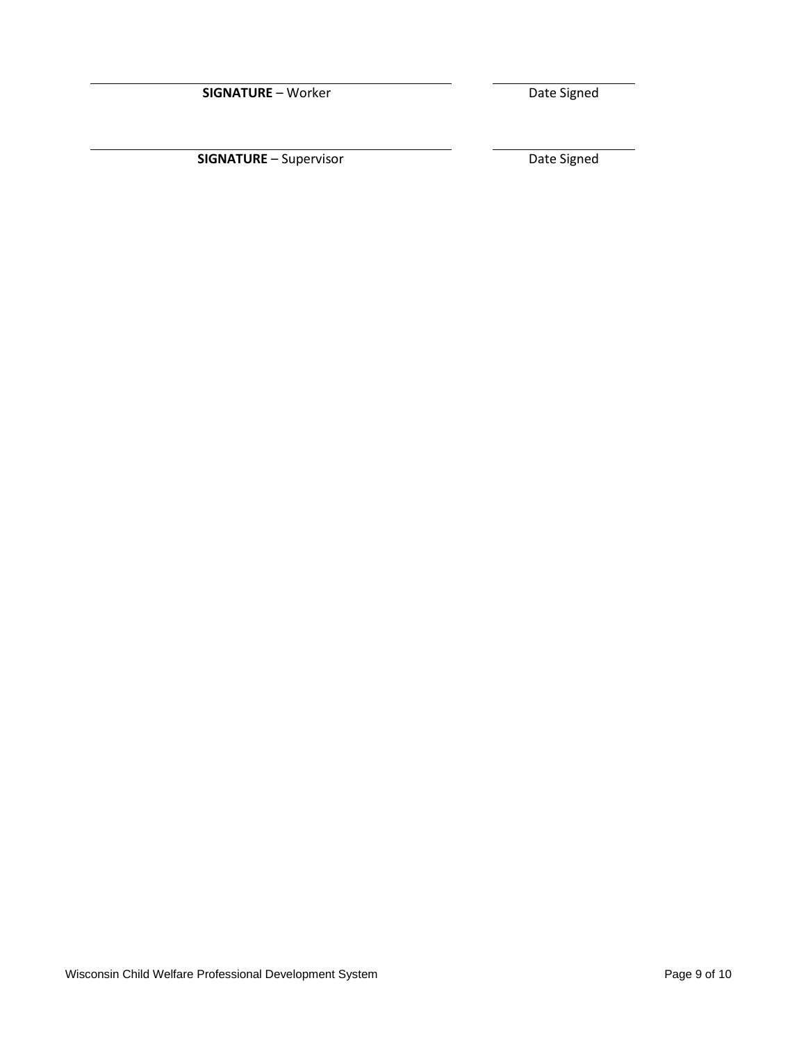**SIGNATURE** – Worker Date Signed

**SIGNATURE** – Supervisor **Date Signed**